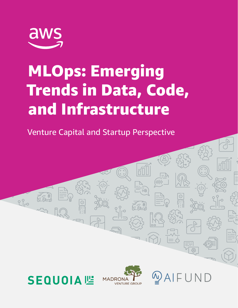

# MLOps: Emerging Trends in Data, Code, and Infrastructure

Venture Capital and Startup Perspective



 $29 - 10$ 



 $\vec{a}$ 

AIFUND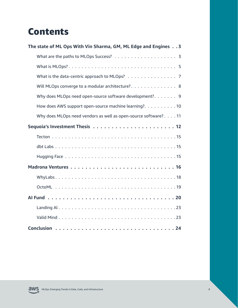### **Contents**

| The state of ML Ops With Vin Sharma, GM, ML Edge and Engines 3  |  |  |  |  |
|-----------------------------------------------------------------|--|--|--|--|
|                                                                 |  |  |  |  |
|                                                                 |  |  |  |  |
| What is the data-centric approach to MLOps? 7                   |  |  |  |  |
| Will MLOps converge to a modular architecture? 8                |  |  |  |  |
| Why does MLOps need open-source software development?. 9        |  |  |  |  |
| How does AWS support open-source machine learning?. 10          |  |  |  |  |
| Why does MLOps need vendors as well as open-source software? 11 |  |  |  |  |
|                                                                 |  |  |  |  |
|                                                                 |  |  |  |  |
|                                                                 |  |  |  |  |
|                                                                 |  |  |  |  |
|                                                                 |  |  |  |  |
|                                                                 |  |  |  |  |
|                                                                 |  |  |  |  |
|                                                                 |  |  |  |  |
|                                                                 |  |  |  |  |
|                                                                 |  |  |  |  |
|                                                                 |  |  |  |  |

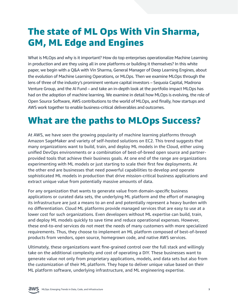### <span id="page-2-0"></span>The state of ML Ops With Vin Sharma, GM, ML Edge and Engines

What is MLOps and why is it important? How do top enterprises operationalize Machine Learning in production and are they using all in one platforms or building it themselves? In this white paper, we begin with a Q&A with Vin Sharma, General Manager of Deep Learning Engines, about the evolution of Machine Learning Operations, or MLOps. Then we examine MLOps through the lens of three of the industry's prominent venture capital investors – Sequoia Capital, Madrona Venture Group, and the AI Fund – and take an in-depth look at the portfolio impact MLOps has had on the adoption of machine learning. We examine in detail how MLOps is evolving, the role of Open Source Software, AWS contributions to the world of MLOps, and finally, how startups and AWS work together to enable business-critical deliverables and outcomes.

### What are the paths to MLOps Success?

At AWS, we have seen the growing popularity of machine learning platforms through Amazon SageMaker and variety of self-hosted solutions on EC2. This trend suggests that many organizations want to build, train, and deploy ML models in the Cloud, either using unified DevOps environments or a combination of best-of-breed open source and partnerprovided tools that achieve their business goals. At one end of the range are organizations experimenting with ML models or just starting to scale their first few deployments. At the other end are businesses that need powerful capabilities to develop and operate sophisticated ML models in production that drive mission-critical business applications and extract unique value from potentially massive amounts of data.

For any organization that wants to generate value from domain-specific business applications or curated data sets, the underlying ML platform and the effort of managing its infrastructure are just a means to an end and potentially represent a heavy burden with no differentiation. Cloud ML platforms provide managed services that are easy to use at a lower cost for such organizations. Even developers without ML expertise can build, train, and deploy ML models quickly to save time and reduce operational expenses. However, these end-to-end services do not meet the needs of many customers with more specialized requirements. Thus, they choose to implement an ML platform composed of best-of-breed products from vendors, open source, homegrown code, and native AWS services.

Ultimately, these organizations want fine-grained control over the full stack and willingly take on the additional complexity and cost of operating a DIY. These businesses want to generate value not only from proprietary applications, models, and data sets but also from the customization of their ML platform. They hope to deliver unique value based on their ML platform software, underlying infrastructure, and ML engineering expertise.

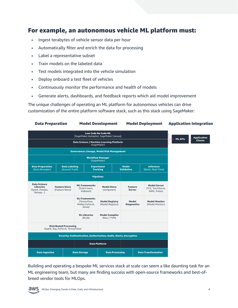#### For example, an autonomous vehicle ML platform must:

- Ingest terabytes of vehicle sensor data per hour
- Automatically filter and enrich the data for processing
- Label a representative subset
- Train models on the labeled data
- Test models integrated into the vehicle simulation
- Deploy onboard a test fleet of vehicles
- Continuously monitor the performance and health of models
- Generate alerts, dashboards, and feedback reports which aid model improvement

The unique challenges of operating an ML platform for autonomous vehicles can drive customization of the entire platform software stack, such as this stack using SageMaker:



Building and operating a bespoke ML services stack at scale can seem a like daunting task for an ML engineering team, but many are finding success with open-source frameworks and best-ofbreed vendor tools for MLOps.

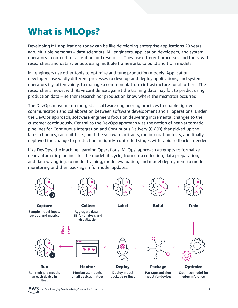## <span id="page-4-0"></span>What is MLOps?

Developing ML applications today can be like developing enterprise applications 20 years ago. Multiple personas – data scientists, ML engineers, application developers, and system operators – contend for attention and resources. They use different processes and tools, with researchers and data scientists using multiple frameworks to build and train models.

ML engineers use other tools to optimize and tune production models. Application developers use wildly different processes to develop and deploy applications, and system operators try, often vainly, to manage a common platform infrastructure for all others. The researcher's model with 95% confidence against the training data may fail to predict using production data – neither research nor production know where the mismatch occurred.

The DevOps movement emerged as software engineering practices to enable tighter communication and collaboration between software development and IT operations. Under the DevOps approach, software engineers focus on delivering incremental changes to the customer continuously. Central to the DevOps approach was the notion of near-automatic pipelines for Continuous Integration and Continuous Delivery (CI/CD) that picked up the latest changes, ran unit tests, built the software artifacts, ran integration tests, and finally deployed the change to production in tightly-controlled stages with rapid rollback if needed.

Like DevOps, the Machine Learning Operations (MLOps) approach attempts to formalize near-automatic pipelines for the model lifecycle, from data collection, data preparation, and data wrangling, to model training, model evaluation, and model deployment to model monitoring and then back again for model updates.



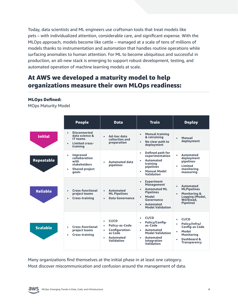Today, data scientists and ML engineers use craftsman tools that treat models like pets – with individualized attention, considerable care, and significant expense. With the MLOps approach, models become like cattle – managed at a scale of tens of millions of models thanks to instrumentation and automation that handles routine operations while surfacing anomalies to human attention. For ML to become ubiquitous and successful in production, an all-new stack is emerging to support robust development, testing, and automated operation of machine learning models at scale.

#### At AWS we developed a maturity model to help organizations measure their own MLOps readiness:

#### MLOps Defined:

MOps Maturity Model

|                   | <b>People</b>                                                                                           | <b>Data</b>                                                                                                  | <b>Train</b>                                                                                                                                           | <b>Deploy</b>                                                                                                                     |
|-------------------|---------------------------------------------------------------------------------------------------------|--------------------------------------------------------------------------------------------------------------|--------------------------------------------------------------------------------------------------------------------------------------------------------|-----------------------------------------------------------------------------------------------------------------------------------|
| <b>Initial</b>    | <b>Disconnected</b><br>data science &<br>IT teams<br><b>Limited cross-</b><br>$\bullet$<br>training     | Ad-hoc data<br>collection and<br>preparation                                                                 | <b>Manual training</b><br>& retraining<br>No clear path to<br>$\bullet$<br>deployment                                                                  | Manual<br>$\bullet$<br>deployment                                                                                                 |
| <b>Repeatable</b> | <b>Improved</b><br>collaboration<br>with<br>stakeholders<br><b>Shared project</b><br>$\bullet$<br>goals | <b>Automated data</b><br>pipelines                                                                           | Defined path for<br>experimentation<br><b>Automated</b><br>$\bullet$<br>training<br>pipelines<br><b>Manual Model</b><br>Validation                     | Automated<br>$\bullet$<br>deployment<br>pipelines<br>Limited<br>٠<br>monitoring<br>measuring                                      |
| <b>Reliable</b>   | <b>Cross-functional</b><br>project teams<br>Cross-training<br>$\bullet$                                 | <b>Automated</b><br>$\bullet$<br><b>ML Pipelines</b><br>Data Governance                                      | <b>Experiment</b><br>Management<br><b>Automated ML</b><br><b>Pipelines</b><br>Model<br>Governance<br>Automated<br>$\bullet$<br><b>Model Validation</b> | Automated<br>$\bullet$<br><b>MLPipelines</b><br><b>Monitoring &amp;</b><br>$\bullet$<br>Logging (Model,<br>Workload.<br>Pipeline) |
| <b>Scalable</b>   | <b>Cross-functional</b><br>project teams<br>Cross-training                                              | CI/CD<br><b>Policy-as-Code</b><br>٠<br>Configuration-<br>٠<br>as Code<br><b>Automated</b><br>ă<br>Validation | CI/CD<br>Policy/Config-<br>as-Code<br>Automated<br>$\bullet$<br><b>Model Validation</b><br>Automated<br>$\bullet$<br>Integration<br>Validation         | CI/CD<br>Policy/Infra/<br><b>Config-as Code</b><br>Model<br><b>Monitoring</b><br>Dashboard &<br>$\bullet$<br><b>Transparency</b>  |

Many organizations find themselves at the initial phase in at least one category. Most discover miscommunication and confusion around the management of data.

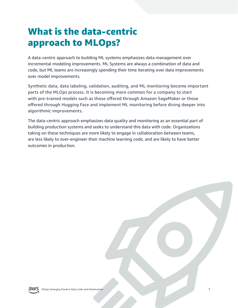### <span id="page-6-0"></span>What is the data-centric approach to MLOps?

A data-centric approach to building ML systems emphasizes data management over incremental modeling improvements. ML Systems are always a combination of data and code, but ML teams are increasingly spending their time iterating over data improvements over model improvements.

Synthetic data, data labeling, validation, auditing, and ML monitoring become important parts of the MLOps process. It is becoming more common for a company to start with pre-trained models such as those offered through Amazon SageMaker or those offered through Hugging Face and implement ML monitoring before diving deeper into algorithmic improvements.

The data-centric approach emphasizes data quality and monitoring as an essential part of building production systems and seeks to understand this data with code. Organizations taking on these techniques are more likely to engage in collaboration between teams, are less likely to over-engineer their machine learning code, and are likely to have better outcomes in production.

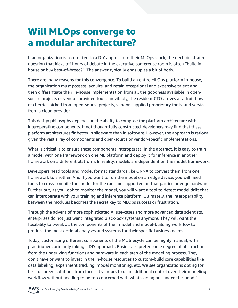### <span id="page-7-0"></span>Will MLOps converge to a modular architecture?

If an organization is committed to a DIY approach to their MLOps stack, the next big strategic question that kicks off hours of debate in the executive conference room is often "build inhouse or buy best-of-breed?". The answer typically ends up as a bit of both.

There are many reasons for this convergence. To build an entire MLOps platform in-house, the organization must possess, acquire, and retain exceptional and expensive talent and then differentiate their in-house implementation from all the goodness available in opensource projects or vendor-provided tools. Inevitably, the resident CTO arrives at a fruit bowl of cherries picked from open-source projects, vendor-supplied proprietary tools, and services from a cloud provider.

This design philosophy depends on the ability to compose the platform architecture with interoperating components. If not thoughtfully constructed, developers may find that these platform architectures fit better in slideware than in software. However, the approach is rational given the vast array of components and open-source or vendor-specific implementations.

What is critical is to ensure these components interoperate. In the abstract, it is easy to train a model with one framework on one ML platform and deploy it for inference in another framework on a different platform. In reality, models are dependent on the model framework.

Developers need tools and model format standards like ONNX to convert them from one framework to another. And if you want to run the model on an edge device, you will need tools to cross-compile the model for the runtime supported on that particular edge hardware. Further out, as you look to monitor the model, you will want a tool to detect model drift that can interoperate with your training and inference platform. Ultimately, the interoperability between the modules becomes the secret key to MLOps success or frustration.

Through the advent of more sophisticated AI use-cases and more advanced data scientists, enterprises do not just want integrated black-box systems anymore. They will want the flexibility to tweak all the components of their model and model-building workflow to produce the most optimal analyses and systems for their specific business needs.

Today, customizing different components of the ML lifecycle can be highly manual, with practitioners primarily taking a DIY approach. Businesses prefer some degree of abstraction from the underlying functions and hardware in each step of the modeling process. They don't have or want to invest in the in-house resources to custom-build core capabilities like data labeling, experiment tracking, model monitoring, etc. We see organizations opting for best-of-breed solutions from focused vendors to gain additional control over their modeling workflow without needing to be too concerned with what's going on "under-the-hood."

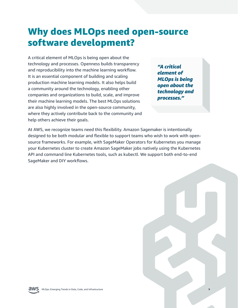### <span id="page-8-0"></span>Why does MLOps need open-source software development?

A critical element of MLOps is being open about the technology and processes. Openness builds transparency and reproducibility into the machine learning workflow. It is an essential component of building and scaling production machine learning models. It also helps build a community around the technology, enabling other companies and organizations to build, scale, and improve their machine learning models. The best MLOps solutions are also highly involved in the open-source community, where they actively contribute back to the community and help others achieve their goals.

*"A critical element of MLOps is being open about the technology and processes."*

At AWS, we recognize teams need this flexibility. Amazon Sagemaker is intentionally designed to be both modular and flexible to support teams who wish to work with opensource frameworks. For example, with SageMaker Operators for Kubernetes you manage your Kubernetes cluster to create Amazon SageMaker jobs natively using the Kubernetes API and command line Kubernetes tools, such as kubectl. We support both end-to-end SageMaker and DIY workflows.



MLOps: Emerging Trends in Data, Code, and Infrastructure **9**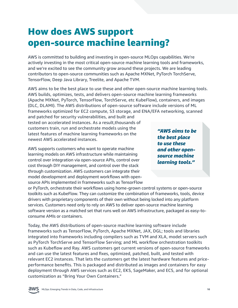### <span id="page-9-0"></span>How does AWS support open-source machine learning?

AWS is committed to building and investing in open-source MLOps capabilities. We're actively investing in the most critical open-source machine learning tools and frameworks, and we're excited to see the community grow around these projects. We are leading contributors to open-source communities such as Apache MXNet, PyTorch TorchServe, TensorFlow, Deep Java Library, Treelite, and Apache TVM.

AWS aims to be the best place to use these and other open-source machine learning tools. AWS builds, optimizes, tests, and delivers open-source machine learning frameworks (Apache MXNet, PyTorch, TensorFlow, TorchServe, etc KubeFlow), containers, and images (DLC, DLAMI). The AWS distributions of open-source software include versions of ML frameworks optimized for EC2 compute, S3 storage, and ENA/EFA networking, scanned

and patched for security vulnerabilities, and built and tested on accelerated instances. As a result,thousands of customers train, run and orchestrate models using the latest features of machine learning frameworks on the newest AWS accelerated instances.

AWS supports customers who want to operate machine learning models on AWS infrastructure while maintaining control over integration via open-source APIs, control over cost through DIY management, and control over the stack through customization. AWS customers can integrate their model development and deployment workflows with opensource APIs implemented in frameworks such as TensorFlow

or PyTorch, orchestrate their workflows using home-grown control systems or open-source toolkits such as KubeFlow. They can customize the combination of frameworks, tools, device drivers with proprietary components of their own without being locked into any platform services. Customers need only to rely on AWS to deliver open-source machine learning software version as a matched set that runs well on AWS infrastructure, packaged as easy-toconsume AMIs or containers.

Today, the AWS distributions of open-source machine learning software include frameworks such as TensorFlow, PyTorch, Apache MXNet, JAX, DGL; tools and libraries integrated into frameworks including compilers such as TVM and XLA, model servers such as PyTorch TorchServe and TensorFlow Serving; and ML workflow orchestration toolkits such as Kubeflow and Ray. AWS customers get current versions of open-source frameworks and can use the latest features and fixes, optimized, patched, built, and tested with relevant EC2 instances. That lets the customers get the latest hardware features and priceperformance benefits. This is packaged and distributed as images and containers for easy deployment through AWS services such as EC2, EKS, SageMaker, and ECS, and for optional customization as "Bring Your Own Containers."

*"AWS aims to be the best place to use these and other opensource machine learning tools."*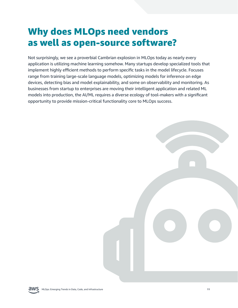### <span id="page-10-0"></span>Why does MLOps need vendors as well as open-source software?

Not surprisingly, we see a proverbial Cambrian explosion in MLOps today as nearly every application is utilizing machine learning somehow. Many startups develop specialized tools that implement highly efficient methods to perform specific tasks in the model lifecycle. Focuses range from training large-scale language models, optimizing models for inference on edge devices, detecting bias and model explainability, and some on observability and monitoring. As businesses from startup to enterprises are moving their intelligent application and related ML models into production, the AI/ML requires a diverse ecology of tool-makers with a significant opportunity to provide mission-critical functionality core to MLOps success.



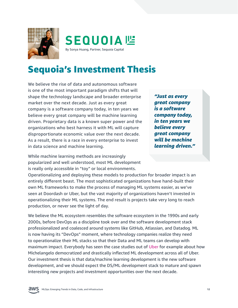<span id="page-11-0"></span>



### Sequoia's Investment Thesis

We believe the rise of data and autonomous software is one of the most important paradigm shifts that will shape the technology landscape and broader enterprise market over the next decade. Just as every great company is a software company today, in ten years we believe every great company will be machine learning driven. Proprietary data is a known super power and the organizations who best harness it with ML will capture disproportionate economic value over the next decade. As a result, there is a race in every enterprise to invest in data science and machine learning.

While machine learning methods are increasingly popularized and well understood, most ML development is really only accessible in "toy" or local environments.

Operationalizing and deploying these models to production for broader impact is an entirely different beast. The most sophisticated organizations have hand-built their own ML frameworks to make the process of managing ML systems easier, as we've seen at Doordash or Uber, but the vast majority of organizations haven't invested in operationalizing their ML systems. The end result is projects take very long to reach production, or never see the light of day.

We believe the ML ecosystem resembles the software ecosystem in the 1990s and early 2000s, before DevOps as a discipline took over and the software development stack professionalized and coalesced around systems like GitHub, Atlassian, and Datadog. ML is now having its "DevOps" moment, where technology companies realize they need to operationalize their ML stacks so that their Data and ML teams can develop with maximum impact. Everybody has seen the case studies out of [Uber](https://eng.uber.com/scaling-michelangelo/) for example about how Michelangelo democratized and drastically inflected ML development across all of Uber. Our investment thesis is that data/machine learning development is the new software development, and we should expect the DS/ML development stack to mature and spawn interesting new projects and investment opportunities over the next decade.

*"Just as every great company is a software company today, in ten years we believe every great company will be machine learning driven."*

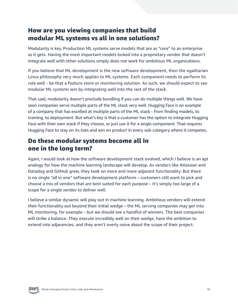#### How are you viewing companies that build modular ML systems vs all in one solutions?

Modularity is key. Production ML systems serve models that are as "core" to an enterprise as it gets. Having the most important models locked into a proprietary vendor that doesn't integrate well with other solutions simply does not work for ambitious ML organizations.

If you believe that ML development is the new software development, then the egalitarian Linux philosophy very much applies to ML systems. Each component needs to perform its role well - be that a feature store or monitoring solution. As such, we should expect to see modular ML systems win by integrating well into the rest of the stack.

That said, modularity doesn't preclude bundling if you can do multiple things well. We have seen companies serve multiple parts of the ML stack very well. Hugging Face is an example of a company that has excelled at multiple parts of the ML stack - from finding models, to training, to deployment. But what's key is that a customer has the option to integrate Hugging Face with their own stack if they choose, or just use it for a single component. That requires Hugging Face to stay on its toes and win on product in every sub-category where it competes.

#### Do these modular systems become all in one in the long term?

Again, I would look at how the software development stack evolved, which I believe is an apt analogy for how the machine learning landscape will develop. As vendors like Atlassian and Datadog and GitHub grew, they took on more and more adjacent functionality. But there is no single "all in one" software development platform – customers still want to pick and choose a mix of vendors that are best suited for each purpose – it's simply too large of a scope for a single vendor to deliver well.

I believe a similar dynamic will play out in machine learning. Ambitious vendors will extend their functionality out beyond their initial wedge – the ML serving companies may get into ML monitoring, for example – but we should see a handful of winners. The best companies will strike a balance. They execute incredibly well on their wedge, have the ambition to extend into adjacencies, and they aren't overly naive about the scope of their project.

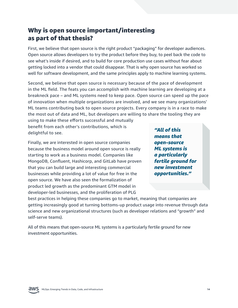#### Why is open source important/interesting as part of that thesis?

First, we believe that open source is the right product "packaging" for developer audiences. Open source allows developers to try the product before they buy, to peel back the code to see what's inside if desired, and to build for core production use cases without fear about getting locked into a vendor that could disappear. That is why open source has worked so well for software development, and the same principles apply to machine learning systems.

Second, we believe that open source is necessary because of the pace of development in the ML field. The feats you can accomplish with machine learning are developing at a breakneck pace – and ML systems need to keep pace. Open source can speed up the pace of innovation when multiple organizations are involved, and we see many organizations' ML teams contributing back to open source projects. Every company is in a race to make the most out of data and ML, but developers are willing to share the tooling they are

using to make these efforts successful and mutually benefit from each other's contributions, which is delightful to see.

Finally, we are interested in open source companies because the business model around open source is really starting to work as a business model. Companies like MongoDB, Confluent, Hashicorp, and GitLab have proven that you can build large and interesting commercial businesses while providing a lot of value for free in the open source. We have also seen the formalization of product led growth as the predominant GTM model in developer-led businesses, and the proliferation of PLG

*"All of this means that open-source ML systems is a particularly fertile ground for new investment opportunities."*

best practices in helping these companies go to market, meaning that companies are getting increasingly good at turning bottoms-up product usage into revenue through data science and new organizational structures (such as developer relations and "growth" and self-serve teams).

All of this means that open-source ML systems is a particularly fertile ground for new investment opportunities.

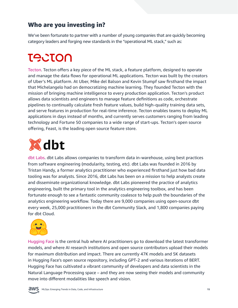#### <span id="page-14-0"></span>Who are you investing in?

We've been fortunate to partner with a number of young companies that are quickly becoming category leaders and forging new standards in the "operational ML stack," such as:

# **TACTON**

[Tecton.](https://www.tecton.ai/)Tecton offers a key piece of the ML stack, a feature platform, designed to operate and manage the data flows for operational ML applications. Tecton was built by the creators of Uber's ML platform. At Uber, Mike del Balson and Kevin Stumpf saw firsthand the impact that Michelangelo had on democratizing machine learning. They founded Tecton with the mission of bringing machine intelligence to every production application. Tecton's product allows data scientists and engineers to manage feature definitions as code, orchestrate pipelines to continually calculate fresh feature values, build high-quality training data sets, and serve features in production for real-time inference. Tecton enables teams to deploy ML applications in days instead of months, and currently serves customers ranging from leading technology and Fortune 50 companies to a wide range of start-ups. Tecton's open source offering, Feast, is the leading open source feature store.



[dbt Labs.](https://www.getdbt.com/) dbt Labs allows companies to transform data in-warehouse, using best practices from software engineering (modularity, testing, etc). dbt Labs was founded in 2016 by Tristan Handy, a former analytics practitioner who experienced firsthand just how bad data tooling was for analysts. Since 2016, dbt Labs has been on a mission to help analysts create and disseminate organizational knowledge. dbt Labs pioneered the practice of analytics engineering, built the primary tool in the analytics engineering toolbox, and has been fortunate enough to see a fantastic community coalesce to help push the boundaries of the analytics engineering workflow. Today there are 9,000 companies using open-source dbt every week, 25,000 practitioners in the dbt Community Slack, and 1,800 companies paying for dbt Cloud.



[Hugging Face](https://huggingface.co) is the central hub where AI practitioners go to download the latest transformer models, and where AI research institutions and open source contributors upload their models for maximum distribution and impact. There are currently 47K models and 5K datasets in Hugging Face's open source repository, including GPT-2 and various iterations of BERT. Hugging Face has cultivated a vibrant community of developers and data scientists in the Natural Language Processing space – and they are now seeing their models and community move into different modalities like speech and vision.

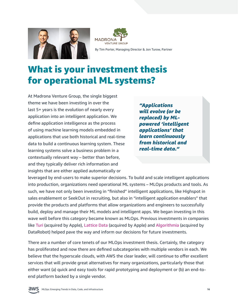<span id="page-15-0"></span>



By Tim Porter, Managing Director & Jon Turow, Partner

### What is your investment thesis for operational ML systems?

At Madrona Venture Group, the single biggest theme we have been investing in over the last 5+ years is the evolution of nearly every application into an intelligent application. We define application intelligence as the process of using machine learning models embedded in applications that use both historical and real-time data to build a continuous learning system. These learning systems solve a business problem in a contextually relevant way – better than before, and they typically deliver rich information and insights that are either applied automatically or

*"Applications will evolve (or be replaced) by MLpowered 'intelligent applications' that learn continuously from historical and real-time data."*

leveraged by end-users to make superior decisions. To build and scale intelligent applications into production, organizations need operational ML systems – MLOps products and tools. As such, we have not only been investing in "finished" intelligent applications, like Highspot in sales enablement or SeekOut in recruiting, but also in "intelligent application enablers" that provide the products and platforms that allow organizations and engineers to successfully build, deploy and manage their ML models and intelligent apps. We began investing in this wave well before this category became known as MLOps. Previous investments in companies like [Turi](https://techcrunch.com/2016/08/05/apple-acquires-turi-a-machine-learning-company/http://) (acquired by Apple), [Lattice Data](https://techcrunch.com/2017/05/13/apple-acquires-ai-company-lattice-data-a-specialist-in-unstructured-dark-data/) (acquired by Apple) and [Algorithmia](https://www.geekwire.com/2021/datarobot-lands-300m-acquires-seattle-machine-learning-startup-algorithmia/) (acquired by DataRobot) helped pave the way and inform our decisions for future investments.

There are a number of core tenets of our MLOps investment thesis. Certainly, the category has proliferated and now there are defined subcategories with multiple vendors in each. We believe that the hyperscale clouds, with AWS the clear leader, will continue to offer excellent services that will provide great alternatives for many organizations, particularly those that either want (a) quick and easy tools for rapid prototyping and deployment or (b) an end-toend platform backed by a single vendor.

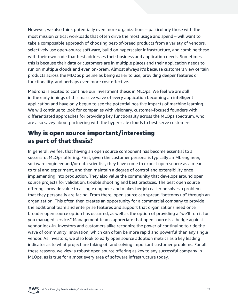However, we also think potentially even more organizations – particularly those with the most mission critical workloads that often drive the most usage and spend – will want to take a composable approach of choosing best-of-breed products from a variety of vendors, selectively use open-source software, build on hyperscaler infrastructure, and combine these with their own code that best addresses their business and application needs. Sometimes this is because their data or customers are in multiple places and their application needs to run on multiple clouds and even on-prem. Almost always it's because customers view certain products across the MLOps pipeline as being easier to use, providing deeper features or functionality, and perhaps even more cost effective.

Madrona is excited to continue our investment thesis in MLOps. We feel we are still in the early innings of this massive wave of every application becoming an intelligent application and have only begun to see the potential positive impacts of machine learning. We will continue to look for companies with visionary, customer-focused founders with differentiated approaches for providing key functionality across the MLOps spectrum, who are also savvy about partnering with the hyperscale clouds to best serve customers.

#### Why is open source important/interesting as part of that thesis?

In general, we feel that having an open source component has become essential to a successful MLOps offering. First, given the customer persona is typically an ML engineer, software engineer and/or data scientist, they have come to expect open source as a means to trial and experiment, and then maintain a degree of control and extensibility once implementing into production. They also value the community that develops around open source projects for validation, trouble shooting and best practices. The best open source offerings provide value to a single engineer and makes her job easier or solves a problem that they personally are facing. From there, open source can spread "bottoms up" through an organization. This often then creates an opportunity for a commercial company to provide the additional team and enterprise features and support that organizations need once broader open source option has occurred, as well as the option of providing a "we'll run it for you managed service." Management teams appreciate that open source is a hedge against vendor lock-in. Investors and customers alike recognize the power of continuing to ride the wave of community innovation, which can often be more rapid and powerful than any single vendor. As investors, we also look to early open source adoption metrics as a key leading indicator as to what project are taking off and solving important customer problems. For all these reasons, we view a robust open source offering as key to any successful company in MLOps, as is true for almost every area of software infrastructure today.

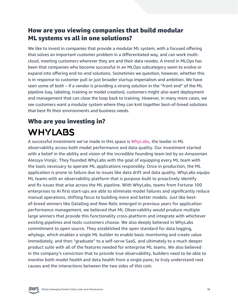#### <span id="page-17-0"></span>How are you viewing companies that build modular ML systems vs all in one solutions?

We like to invest in companies that provide a modular ML system, with a focused offering that solves an important customer problem in a differentiated way, and can work multicloud, meeting customers wherever they are and their data resides. A trend in MLOps has been that companies who become successful in an MLOps subcategory seem to evolve or expand into offering end-to-end solutions. Sometimes we question, however, whether this is in response to customer pull or just broader startup imperialism and ambition. We have seen some of both – if a vendor is providing a strong solution in the "front end" of the ML pipeline (say, labeling, training or model creation), customers might also want deployment and management that can close the loop back to training. However, in many more cases, we see customers want a modular system where they can knit together best-of-breed solutions that best fit their environments and business needs.

### Who are you investing in? **WHYLABS**

A successful investment we've made in this space is [WhyLabs](https://whylabs.ai), the leader in ML observability across both model performance and data quality. Our investment started with a belief in the ability and vision of the incredible founding team led by ex-Amazonian Alessya Visnjic. They founded WhyLabs with the goal of equipping every ML team with the tools necessary to operate ML applications responsibly. Once in production, the ML application is prone to failure due to issues like data drift and data quality. WhyLabs equips ML teams with an observability platform that is purpose-built to proactively identify and fix issues that arise across the ML pipeline. With WhyLabs, teams from Fortune 100 enterprises to AI first start-ups are able to eliminate model failures and significantly reduce manual operations, shifting focus to building more and better models. Just like bestof-breed winners like DataDog and New Relic emerged in previous years for application performance management, we believed that ML Observability would produce multiple large winners that provide this functionality cross-platform and integrate with whichever existing pipelines and tools customers choose. We also deeply believed in WhyLabs commitment to open source. They established the open standard for data logging, whylogs, which enables a single ML builder to enable basic monitoring and create value immediately, and then "graduate" to a self-serve SaaS, and ultimately to a much deeper product suite with all of the features needed for enterprise ML teams. We also believed in the company's conviction that to provide true observability, builders need to be able to monitor both model health and data health from a single pane, to truly understand root causes and the interactions between the two sides of this coin.

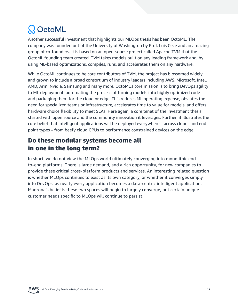# <span id="page-18-0"></span>Q OctoML

Another successful investment that highlights our MLOps thesis has been OctoML. The company was founded out of the University of Washington by Prof. Luis Ceze and an amazing group of co-founders. It is based on an open-source project called Apache TVM that the OctoML founding team created. TVM takes models built on any leading framework and, by using ML-based optimizations, compiles, runs, and accelerates them on any hardware.

While OctoML continues to be core contributors of TVM, the project has blossomed widely and grown to include a broad consortium of industry leaders including AWS, Microsoft, Intel, AMD, Arm, Nvidia, Samsung and many more. OctoML's core mission is to bring DevOps agility to ML deployment, automating the process of turning models into highly optimized code and packaging them for the cloud or edge. This reduces ML operating expense, obviates the need for specialized teams or infrastructure, accelerates time to value for models, and offers hardware choice flexibility to meet SLAs. Here again, a core tenet of the investment thesis started with open source and the community innovation it leverages. Further, it illustrates the core belief that intelligent applications will be deployed everywhere – across clouds and end point types – from beefy cloud GPUs to performance constrained devices on the edge.

#### Do these modular systems become all in one in the long term?

In short, we do not view the MLOps world ultimately converging into monolithic endto-end platforms. There is large demand, and a rich opportunity, for new companies to provide these critical cross-platform products and services. An interesting related question is whether MLOps continues to exist as its own category, or whether it converges simply into DevOps, as nearly every application becomes a data-centric intelligent application. Madrona's belief is these two spaces will begin to largely converge, but certain unique customer needs specific to MLOps will continue to persist.

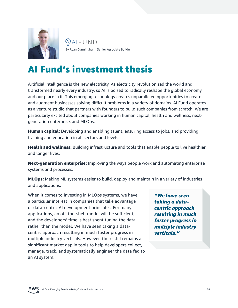<span id="page-19-0"></span>

 $Q$ AIFUND By Ryan Cunningham, Senior Associate Builder

### AI Fund's investment thesis

Artificial intelligence is the new electricity. As electricity revolutionized the world and transformed nearly every industry, so AI is poised to radically reshape the global economy and our place in it. This emerging technology creates unparalleled opportunities to create and augment businesses solving difficult problems in a variety of domains. AI Fund operates as a venture studio that partners with founders to build such companies from scratch. We are particularly excited about companies working in human capital, health and wellness, nextgeneration enterprise, and MLOps.

**Human capital:** Developing and enabling talent, ensuring access to jobs, and providing training and education in all sectors and levels.

Health and wellness: Building infrastructure and tools that enable people to live healthier and longer lives.

Next-generation enterprise: Improving the ways people work and automating enterprise systems and processes.

MLOps: Making ML systems easier to build, deploy and maintain in a variety of industries and applications.

When it comes to investing in MLOps systems, we have a particular interest in companies that take advantage of data-centric AI development principles. For many applications, an off-the-shelf model will be sufficient, and the developers' time is best spent tuning the data rather than the model. We have seen taking a datacentric approach resulting in much faster progress in multiple industry verticals. However, there still remains a significant market gap in tools to help developers collect, manage, track, and systematically engineer the data fed to an AI system.

*"We have seen taking a datacentric approach resulting in much faster progress in multiple industry verticals."*

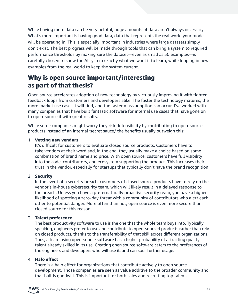While having more data can be very helpful, huge amounts of data aren't always necessary. What's more important is having good data, data that represents the real world your model will be operating in. This is especially important in industries where large datasets simply don't exist. The best progress will be made through tools that can bring a system to required performance thresholds by making sure the dataset—even as small as 50 examples—is carefully chosen to show the AI system exactly what we want it to learn, while looping in new examples from the real world to keep the system current.

#### Why is open source important/interesting as part of that thesis?

Open source accelerates adoption of new technology by virtuously improving it with tighter feedback loops from customers and developers alike. The faster the technology matures, the more market use cases it will find, and the faster mass adoption can occur. I've worked with many companies that have built fantastic software for internal use cases that have gone on to open-source it with great results.

While some companies might worry they risk defensibility by contributing to open-source products instead of an internal 'secret sauce,' the benefits usually outweigh this:

#### 1. Vetting new vendors

It's difficult for customers to evaluate closed source products. Customers have to take vendors at their word and, in the end, they usually make a choice based on some combination of brand name and price. With open source, customers have full visibility into the code, contributors, and ecosystem supporting the product. This increases their trust in the vendor, especially for startups that typically don't have the brand recognition.

#### 2. Security

In the event of a security breach, customers of closed source products have to rely on the vendor's in-house cybersecurity team, which will likely result in a delayed response to the breach. Unless you have a preternaturally proactive security team, you have a higher likelihood of spotting a zero-day threat with a community of contributors who alert each other to potential danger. More often than not, open source is even more secure than closed source for this reason.

#### 3. Talent preference

The best productivity software to use is the one that the whole team buys into. Typically speaking, engineers prefer to use and contribute to open-sourced products rather than rely on closed products, thanks to the transferability of that skill across different organizations. Thus, a team using open-source software has a higher probability of attracting quality talent already skilled in its use. Creating open source software caters to the preferences of the engineers and developers who will use it, and can spur further usage.

#### 4. Halo effect

There is a halo effect for organizations that contribute actively to open source development. Those companies are seen as value additive to the broader community and that builds goodwill. This is important for both sales and recruiting top talent.

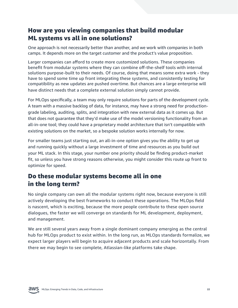#### How are you viewing companies that build modular ML systems vs all in one solutions?

One approach is not necessarily better than another, and we work with companies in both camps. It depends more on the target customer and the product's value proposition.

Larger companies can afford to create more customized solutions. These companies benefit from modular systems where they can combine off-the-shelf tools with internal solutions purpose-built to their needs. Of course, doing that means some extra work - they have to spend some time up front integrating these systems, and consistently testing for compatibility as new updates are pushed overtime. But chances are a large enterprise will have distinct needs that a complete external solution simply cannot provide.

For MLOps specifically, a team may only require solutions for parts of the development cycle. A team with a massive backlog of data, for instance, may have a strong need for productiongrade labeling, auditing, splits, and integration with new external data as it comes up. But that does not guarantee that they'd make use of the model versioning functionality from an all-in-one tool; they could have a proprietary model architecture that isn't compatible with existing solutions on the market, so a bespoke solution works internally for now.

For smaller teams just starting out, an all-in-one option gives you the ability to get up and running quickly without a large investment of time and resources as you build out your ML stack. In this stage, your number one priority should be finding product-market fit, so unless you have strong reasons otherwise, you might consider this route up front to optimize for speed.

#### Do these modular systems become all in one in the long term?

No single company can own all the modular systems right now, because everyone is still actively developing the best frameworks to conduct these operations. The MLOps field is nascent, which is exciting, because the more people contribute to these open source dialogues, the faster we will converge on standards for ML development, deployment, and management.

We are still several years away from a single dominant company emerging as the central hub for MLOps product to exist within. In the long run, as MLOps standards formalize, we expect larger players will begin to acquire adjacent products and scale horizontally. From there we may begin to see complete, Atlassian-like platforms take shape.

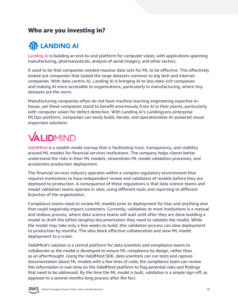#### <span id="page-22-0"></span>Who are you investing in?

### **WE LANDING AI**

[Landing AI](https://landing.ai/) is building an end-to-end platform for computer vision, with applications spanning manufacturing, pharmaceuticals, analysis of aerial imagery, and other sectors.

It used to be that companies needed massive data sets for ML to be effective. This effectively locked out companies that lacked the large datasets common to big tech and internet companies. With data-centric AI, Landing AI is bringing AI to less data-rich companies and making AI more accessible to organizations, particularly in manufacturing, where tiny datasets are the norm.

Manufacturing companies often do not have machine learning engineering expertise inhouse, yet these companies stand to benefit enormously from AI in their plants, particularly with computer vision for defect detection. With Landing AI's LandingLens enterprise MLOps platform, companies can easily build, iterate, and operationalize AI-powered visual inspection solutions.

# VALIDMIND

[ValidMind](https://www.validmind.ai/) is a stealth-mode startup that is facilitating trust, transparency, and visibility around ML models for financial services institutions. The company helps clients better understand the risks in their ML models, streamlines ML model validation processes, and accelerates production deployment.

The financial services industry operates within a complex regulatory environment that requires institutions to have independent review and validation of models before they are deployed to production. A consequence of these regulations is that data science teams and model validation teams operate in silos, using different tools and reporting to different branches of the organization.

Compliance teams need to review ML models prior to deployment for bias and anything else that could negatively impact customers. Currently, validation at most institutions is a manual and tedious process, where data science teams will wait until after they are done building a model to draft the (often lengthy) documentation they need to validate the model. While the model may take only a few weeks to build, this validation process can slow deployment to production by months. The silos block effective collaboration and slow ML model deployment to a crawl.

ValidMind's solution is a central platform for data scientists and compliance teams to collaborate as the model is developed to ensure ML compliance by design, rather than as an afterthought. Using the ValidMind SDK, data scientists can run tests and capture documentation about ML models with a few lines of code; the compliance team can review this information in real-time on the ValidMind platform to flag potential risks and findings that need to be addressed. By the time the ML model is built, validation is a simple sign-off, as opposed to a several months-long process after the fact.

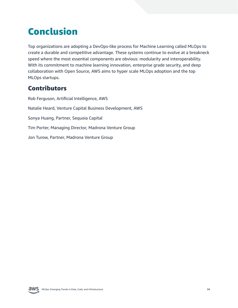# <span id="page-23-0"></span>Conclusion

Top organizations are adopting a DevOps-like process for Machine Learning called MLOps to create a durable and competitive advantage. These systems continue to evolve at a breakneck speed where the most essential components are obvious: modularity and interoperability. With its commitment to machine learning innovation, enterprise grade security, and deep collaboration with Open Source, AWS aims to hyper scale MLOps adoption and the top MLOps startups.

#### **Contributors**

Rob Ferguson, Artificial Intelligence, AWS Natalie Heard, Venture Capital Business Development, AWS Sonya Huang, Partner, Sequoia Capital Tim Porter, Managing Director, Madrona Venture Group Jon Turow, Partner, Madrona Venture Group